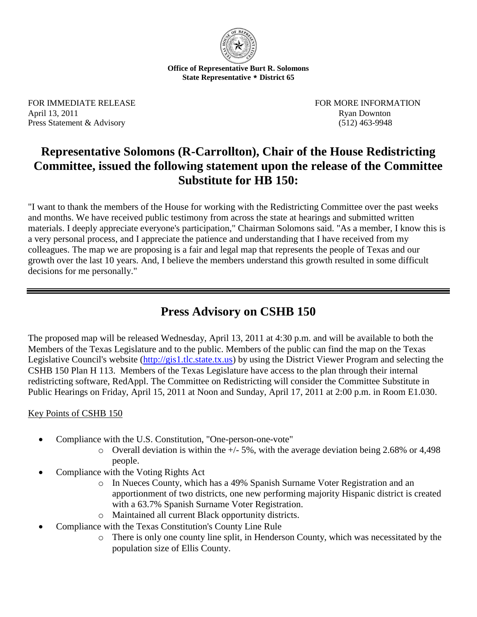

**Office of Representative Burt R. Solomons State Representative \* District 65**

FOR IMMEDIATE RELEASE FOR MORE INFORMATION April 13, 2011 Ryan Downton Press Statement & Advisory (512) 463-9948

## **Representative Solomons (R-Carrollton), Chair of the House Redistricting Committee, issued the following statement upon the release of the Committee Substitute for HB 150:**

"I want to thank the members of the House for working with the Redistricting Committee over the past weeks and months. We have received public testimony from across the state at hearings and submitted written materials. I deeply appreciate everyone's participation," Chairman Solomons said. "As a member, I know this is a very personal process, and I appreciate the patience and understanding that I have received from my colleagues. The map we are proposing is a fair and legal map that represents the people of Texas and our growth over the last 10 years. And, I believe the members understand this growth resulted in some difficult decisions for me personally."

## **Press Advisory on CSHB 150**

The proposed map will be released Wednesday, April 13, 2011 at 4:30 p.m. and will be available to both the Members of the Texas Legislature and to the public. Members of the public can find the map on the Texas Legislative Council's website [\(http://gis1.tlc.state.tx.us\)](http://gis1.tlc.state.tx.us/) by using the District Viewer Program and selecting the CSHB 150 Plan H 113. Members of the Texas Legislature have access to the plan through their internal redistricting software, RedAppl. The Committee on Redistricting will consider the Committee Substitute in Public Hearings on Friday, April 15, 2011 at Noon and Sunday, April 17, 2011 at 2:00 p.m. in Room E1.030.

## Key Points of CSHB 150

- Compliance with the U.S. Constitution, "One-person-one-vote"
	- o Overall deviation is within the +/- 5%, with the average deviation being 2.68% or 4,498 people.
- Compliance with the Voting Rights Act
	- o In Nueces County, which has a 49% Spanish Surname Voter Registration and an apportionment of two districts, one new performing majority Hispanic district is created with a 63.7% Spanish Surname Voter Registration.
	- o Maintained all current Black opportunity districts.
- Compliance with the Texas Constitution's County Line Rule
	- o There is only one county line split, in Henderson County, which was necessitated by the population size of Ellis County.